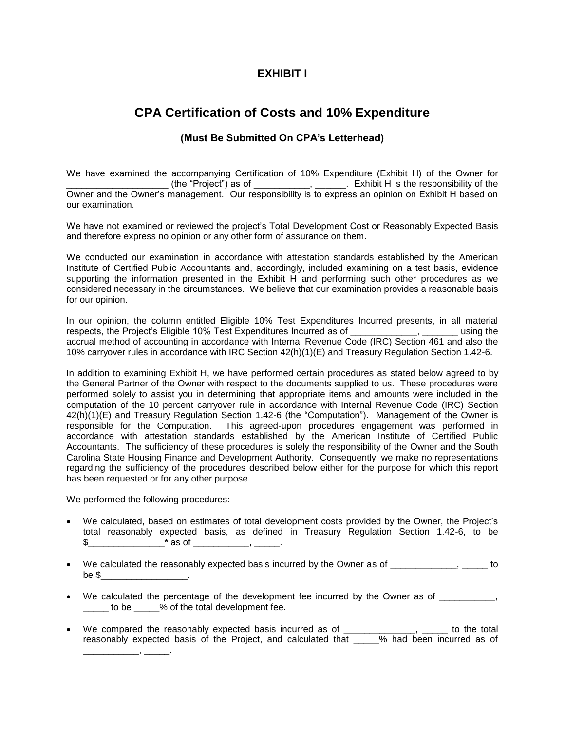## **EXHIBIT I**

# **CPA Certification of Costs and 10% Expenditure**

### **(Must Be Submitted On CPA's Letterhead)**

We have examined the accompanying Certification of 10% Expenditure (Exhibit H) of the Owner for  $\blacksquare$  (the "Project") as of \_\_\_\_\_\_\_\_\_, \_\_\_\_\_, Exhibit H is the responsibility of the Owner and the Owner's management. Our responsibility is to express an opinion on Exhibit H based on our examination.

We have not examined or reviewed the project's Total Development Cost or Reasonably Expected Basis and therefore express no opinion or any other form of assurance on them.

We conducted our examination in accordance with attestation standards established by the American Institute of Certified Public Accountants and, accordingly, included examining on a test basis, evidence supporting the information presented in the Exhibit H and performing such other procedures as we considered necessary in the circumstances. We believe that our examination provides a reasonable basis for our opinion.

In our opinion, the column entitled Eligible 10% Test Expenditures Incurred presents, in all material respects, the Project's Eligible 10% Test Expenditures Incurred as of \_\_\_\_\_\_\_\_\_\_\_\_\_, \_\_\_\_\_\_\_ using the accrual method of accounting in accordance with Internal Revenue Code (IRC) Section 461 and also the 10% carryover rules in accordance with IRC Section 42(h)(1)(E) and Treasury Regulation Section 1.42-6.

In addition to examining Exhibit H, we have performed certain procedures as stated below agreed to by the General Partner of the Owner with respect to the documents supplied to us. These procedures were performed solely to assist you in determining that appropriate items and amounts were included in the computation of the 10 percent carryover rule in accordance with Internal Revenue Code (IRC) Section 42(h)(1)(E) and Treasury Regulation Section 1.42-6 (the "Computation"). Management of the Owner is responsible for the Computation. This agreed-upon procedures engagement was performed in accordance with attestation standards established by the American Institute of Certified Public Accountants. The sufficiency of these procedures is solely the responsibility of the Owner and the South Carolina State Housing Finance and Development Authority. Consequently, we make no representations regarding the sufficiency of the procedures described below either for the purpose for which this report has been requested or for any other purpose.

We performed the following procedures:

\_\_\_\_\_\_\_\_\_\_\_, \_\_\_\_\_.

- We calculated, based on estimates of total development costs provided by the Owner, the Project's total reasonably expected basis, as defined in Treasury Regulation Section 1.42-6, to be  $\text{\$}$   $\text{\$}$   $\text{\_}$   $\text{\_}$   $\text{\_}$   $\text{\_}$   $\text{\_}$   $\text{\_}$   $\text{\_}$   $\text{\_}$   $\text{\_}$   $\text{\_}$   $\text{\_}$   $\text{\_}$   $\text{\_}$   $\text{\_}$   $\text{\_}$   $\text{\_}$   $\text{\_}$   $\text{\_}$   $\text{\_}$   $\text{\_}$   $\text{\_}$   $\text{\_}$   $\text{\_}$   $\text{\_}$   $\text{\_}$   $\text{\_$
- We calculated the reasonably expected basis incurred by the Owner as of  $\qquad \qquad$ be  $\$$
- We calculated the percentage of the development fee incurred by the Owner as of \_\_\_\_\_\_\_\_\_\_, \_\_\_\_\_ to be \_\_\_\_\_% of the total development fee.
- We compared the reasonably expected basis incurred as of \_\_\_\_\_\_\_\_\_\_\_\_\_\_, \_\_\_\_\_\_ to the total reasonably expected basis of the Project, and calculated that \_\_\_\_\_% had been incurred as of